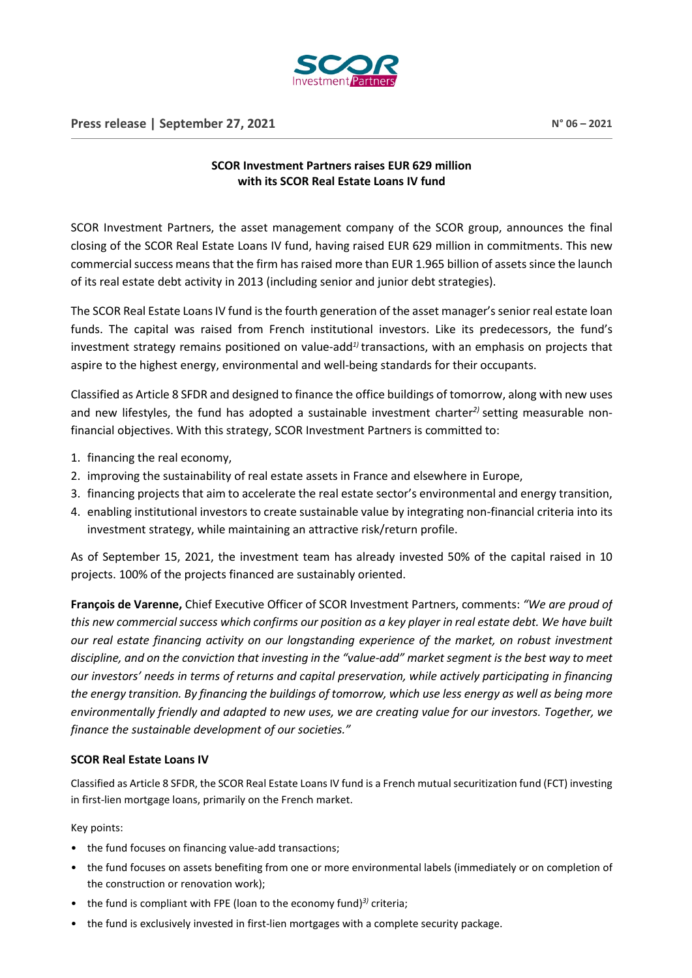

## **SCOR Investment Partners raises EUR 629 million with its SCOR Real Estate Loans IV fund**

SCOR Investment Partners, the asset management company of the SCOR group, announces the final closing of the SCOR Real Estate Loans IV fund, having raised EUR 629 million in commitments. This new commercial success means that the firm has raised more than EUR 1.965 billion of assets since the launch of its real estate debt activity in 2013 (including senior and junior debt strategies).

The SCOR Real Estate Loans IV fund is the fourth generation of the asset manager's senior real estate loan funds. The capital was raised from French institutional investors. Like its predecessors, the fund's investment strategy remains positioned on value-add*1)* transactions, with an emphasis on projects that aspire to the highest energy, environmental and well-being standards for their occupants.

Classified as Article 8 SFDR and designed to finance the office buildings of tomorrow, along with new uses and new lifestyles, the fund has adopted a sustainable investment charter*2)* setting measurable nonfinancial objectives. With this strategy, SCOR Investment Partners is committed to:

- 1. financing the real economy,
- 2. improving the sustainability of real estate assets in France and elsewhere in Europe,
- 3. financing projects that aim to accelerate the real estate sector's environmental and energy transition,
- 4. enabling institutional investors to create sustainable value by integrating non-financial criteria into its investment strategy, while maintaining an attractive risk/return profile.

As of September 15, 2021, the investment team has already invested 50% of the capital raised in 10 projects. 100% of the projects financed are sustainably oriented.

**François de Varenne,** Chief Executive Officer of SCOR Investment Partners, comments: *"We are proud of this new commercial success which confirms our position as a key player in real estate debt. We have built our real estate financing activity on our longstanding experience of the market, on robust investment discipline, and on the conviction that investing in the "value-add" market segment is the best way to meet our investors' needs in terms of returns and capital preservation, while actively participating in financing the energy transition. By financing the buildings of tomorrow, which use less energy as well as being more environmentally friendly and adapted to new uses, we are creating value for our investors. Together, we finance the sustainable development of our societies."*

## **SCOR Real Estate Loans IV**

Classified as Article 8 SFDR, the SCOR Real Estate Loans IV fund is a French mutual securitization fund (FCT) investing in first-lien mortgage loans, primarily on the French market.

Key points:

- the fund focuses on financing value-add transactions;
- the fund focuses on assets benefiting from one or more environmental labels (immediately or on completion of the construction or renovation work);
- the fund is compliant with FPE (loan to the economy fund)<sup>3)</sup> criteria;
- the fund is exclusively invested in first-lien mortgages with a complete security package.